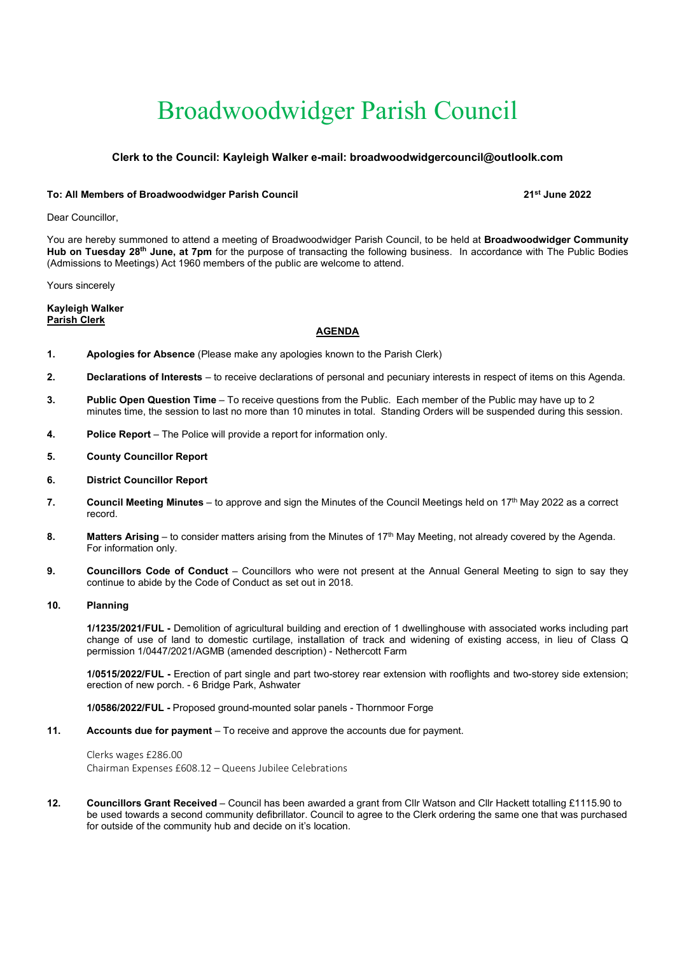# Broadwoodwidger Parish Council

# Clerk to the Council: Kayleigh Walker e-mail: broadwoodwidgercouncil@outloolk.com

### To: All Members of Broadwoodwidger Parish Council 2002 2004 21 12 13th June 2022

Dear Councillor,

You are hereby summoned to attend a meeting of Broadwoodwidger Parish Council, to be held at Broadwoodwidger Community Hub on Tuesday 28<sup>th</sup> June, at 7pm for the purpose of transacting the following business. In accordance with The Public Bodies (Admissions to Meetings) Act 1960 members of the public are welcome to attend.

Yours sincerely

Kayleigh Walker Parish Clerk

#### AGENDA

- 1. Apologies for Absence (Please make any apologies known to the Parish Clerk)
- 2. Declarations of Interests to receive declarations of personal and pecuniary interests in respect of items on this Agenda.
- 3. Public Open Question Time To receive questions from the Public. Each member of the Public may have up to 2 minutes time, the session to last no more than 10 minutes in total. Standing Orders will be suspended during this session.
- 4. Police Report The Police will provide a report for information only.
- 5. County Councillor Report
- 6. District Councillor Report
- 7. Council Meeting Minutes to approve and sign the Minutes of the Council Meetings held on  $17<sup>th</sup>$  May 2022 as a correct record.
- 8. Matters Arising to consider matters arising from the Minutes of  $17<sup>th</sup>$  May Meeting, not already covered by the Agenda. For information only.
- 9. Councillors Code of Conduct Councillors who were not present at the Annual General Meeting to sign to say they continue to abide by the Code of Conduct as set out in 2018.

# 10. Planning

 1/1235/2021/FUL - Demolition of agricultural building and erection of 1 dwellinghouse with associated works including part change of use of land to domestic curtilage, installation of track and widening of existing access, in lieu of Class Q permission 1/0447/2021/AGMB (amended description) - Nethercott Farm

1/0515/2022/FUL - Erection of part single and part two-storey rear extension with rooflights and two-storey side extension; erection of new porch. - 6 Bridge Park, Ashwater

1/0586/2022/FUL - Proposed ground-mounted solar panels - Thornmoor Forge

11. Accounts due for payment – To receive and approve the accounts due for payment.

Clerks wages £286.00 Chairman Expenses £608.12 – Queens Jubilee Celebrations

12. Councillors Grant Received – Council has been awarded a grant from Cllr Watson and Cllr Hackett totalling £1115.90 to be used towards a second community defibrillator. Council to agree to the Clerk ordering the same one that was purchased for outside of the community hub and decide on it's location.